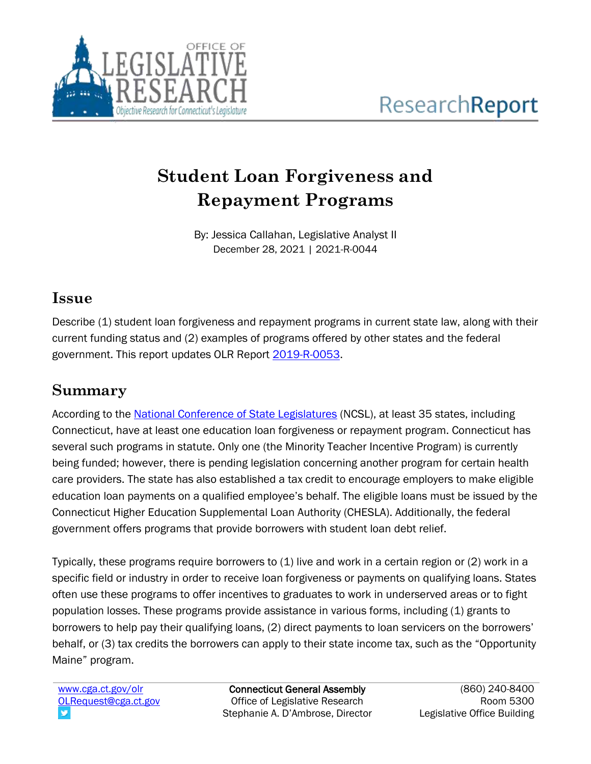

# **Student Loan Forgiveness and Repayment Programs**

By: Jessica Callahan, Legislative Analyst II December 28, 2021 | 2021-R-0044

### **Issue**

Describe (1) student loan forgiveness and repayment programs in current state law, along with their current funding status and (2) examples of programs offered by other states and the federal government. This report updates OLR Report [2019-R-0053.](https://www.cga.ct.gov/2019/rpt/pdf/2019-R-0053.pdf)

## **Summary**

According to the [National Conference of State Legislatures](https://www.ncsl.org/research/education/student-loan-forgiveness.aspx) (NCSL), at least 35 states, including Connecticut, have at least one education loan forgiveness or repayment program. Connecticut has several such programs in statute. Only one (the Minority Teacher Incentive Program) is currently being funded; however, there is pending legislation concerning another program for certain health care providers. The state has also established a tax credit to encourage employers to make eligible education loan payments on a qualified employee's behalf. The eligible loans must be issued by the Connecticut Higher Education Supplemental Loan Authority (CHESLA). Additionally, the federal government offers programs that provide borrowers with student loan debt relief.

Typically, these programs require borrowers to (1) live and work in a certain region or (2) work in a specific field or industry in order to receive loan forgiveness or payments on qualifying loans. States often use these programs to offer incentives to graduates to work in underserved areas or to fight population losses. These programs provide assistance in various forms, including (1) grants to borrowers to help pay their qualifying loans, (2) direct payments to loan servicers on the borrowers' behalf, or (3) tax credits the borrowers can apply to their state income tax, such as the "Opportunity Maine" program.

[www.cga.ct.gov/olr](http://www.cga.ct.gov/olr) [OLRequest@cga.ct.gov](mailto:OLRequest@cga.ct.gov)

Connecticut General Assembly Office of Legislative Research Stephanie A. D'Ambrose, Director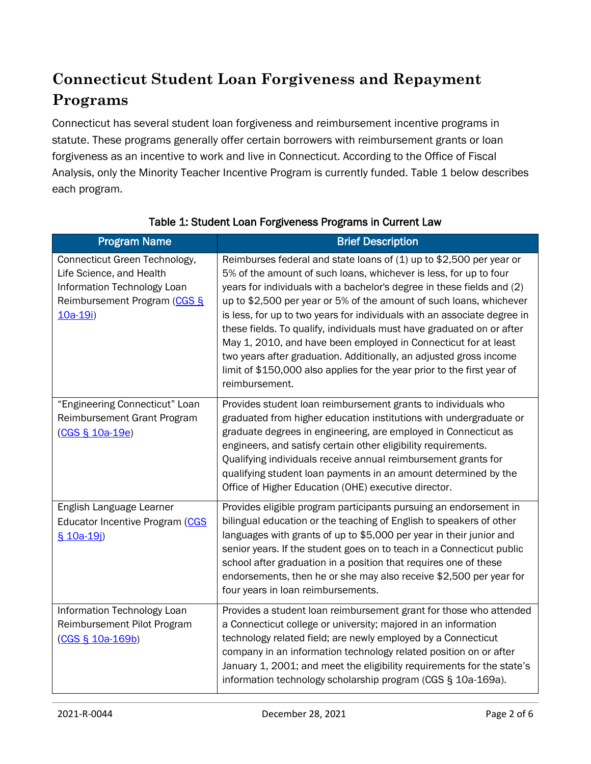## **Connecticut Student Loan Forgiveness and Repayment Programs**

Connecticut has several student loan forgiveness and reimbursement incentive programs in statute. These programs generally offer certain borrowers with reimbursement grants or loan forgiveness as an incentive to work and live in Connecticut. According to the Office of Fiscal Analysis, only the Minority Teacher Incentive Program is currently funded. Table 1 below describes each program.

| <b>Program Name</b>                                                                                                                  | <b>Brief Description</b>                                                                                                                                                                                                                                                                                                                                                                                                                                                                                                                                                                                                                                                             |
|--------------------------------------------------------------------------------------------------------------------------------------|--------------------------------------------------------------------------------------------------------------------------------------------------------------------------------------------------------------------------------------------------------------------------------------------------------------------------------------------------------------------------------------------------------------------------------------------------------------------------------------------------------------------------------------------------------------------------------------------------------------------------------------------------------------------------------------|
| Connecticut Green Technology,<br>Life Science, and Health<br>Information Technology Loan<br>Reimbursement Program (CGS §<br>10a-19i) | Reimburses federal and state loans of (1) up to \$2,500 per year or<br>5% of the amount of such loans, whichever is less, for up to four<br>years for individuals with a bachelor's degree in these fields and (2)<br>up to \$2,500 per year or 5% of the amount of such loans, whichever<br>is less, for up to two years for individuals with an associate degree in<br>these fields. To qualify, individuals must have graduated on or after<br>May 1, 2010, and have been employed in Connecticut for at least<br>two years after graduation. Additionally, an adjusted gross income<br>limit of \$150,000 also applies for the year prior to the first year of<br>reimbursement. |
| "Engineering Connecticut" Loan<br>Reimbursement Grant Program<br>(CGS § 10a-19e)                                                     | Provides student loan reimbursement grants to individuals who<br>graduated from higher education institutions with undergraduate or<br>graduate degrees in engineering, are employed in Connecticut as<br>engineers, and satisfy certain other eligibility requirements.<br>Qualifying individuals receive annual reimbursement grants for<br>qualifying student loan payments in an amount determined by the<br>Office of Higher Education (OHE) executive director.                                                                                                                                                                                                                |
| English Language Learner<br>Educator Incentive Program (CGS<br>§ 10a-19i)                                                            | Provides eligible program participants pursuing an endorsement in<br>bilingual education or the teaching of English to speakers of other<br>languages with grants of up to \$5,000 per year in their junior and<br>senior years. If the student goes on to teach in a Connecticut public<br>school after graduation in a position that requires one of these<br>endorsements, then he or she may also receive \$2,500 per year for<br>four years in loan reimbursements.                                                                                                                                                                                                             |
| Information Technology Loan<br>Reimbursement Pilot Program<br>(CGS § 10a-169b)                                                       | Provides a student loan reimbursement grant for those who attended<br>a Connecticut college or university; majored in an information<br>technology related field; are newly employed by a Connecticut<br>company in an information technology related position on or after<br>January 1, 2001; and meet the eligibility requirements for the state's<br>information technology scholarship program (CGS § 10a-169a).                                                                                                                                                                                                                                                                 |

#### Table 1: Student Loan Forgiveness Programs in Current Law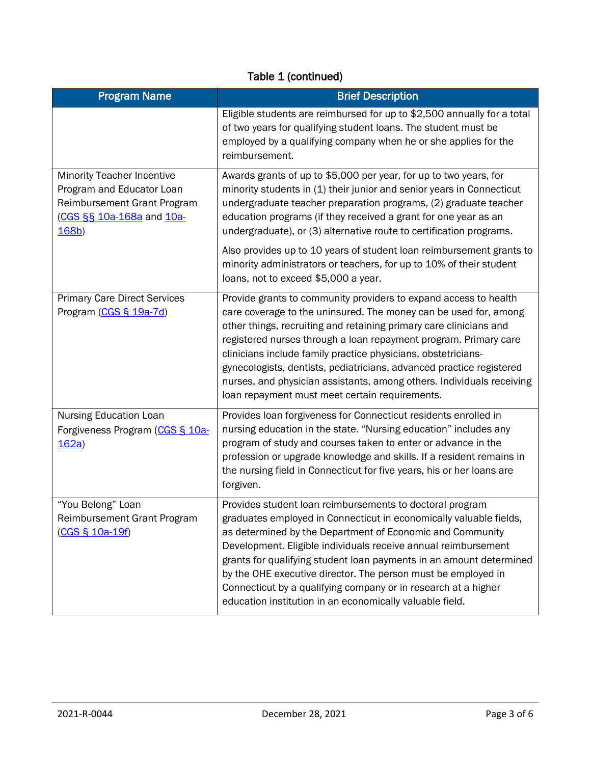### Table 1 (continued)

| <b>Program Name</b>                                                                                                                 | <b>Brief Description</b>                                                                                                                                                                                                                                                                                                                                                                                                                                                                                                                           |
|-------------------------------------------------------------------------------------------------------------------------------------|----------------------------------------------------------------------------------------------------------------------------------------------------------------------------------------------------------------------------------------------------------------------------------------------------------------------------------------------------------------------------------------------------------------------------------------------------------------------------------------------------------------------------------------------------|
|                                                                                                                                     | Eligible students are reimbursed for up to \$2,500 annually for a total<br>of two years for qualifying student loans. The student must be<br>employed by a qualifying company when he or she applies for the<br>reimbursement.                                                                                                                                                                                                                                                                                                                     |
| <b>Minority Teacher Incentive</b><br>Program and Educator Loan<br>Reimbursement Grant Program<br>(CGS §§ 10a-168a and 10a-<br>168b) | Awards grants of up to \$5,000 per year, for up to two years, for<br>minority students in (1) their junior and senior years in Connecticut<br>undergraduate teacher preparation programs, (2) graduate teacher<br>education programs (if they received a grant for one year as an<br>undergraduate), or (3) alternative route to certification programs.                                                                                                                                                                                           |
|                                                                                                                                     | Also provides up to 10 years of student loan reimbursement grants to<br>minority administrators or teachers, for up to 10% of their student<br>loans, not to exceed \$5,000 a year.                                                                                                                                                                                                                                                                                                                                                                |
| <b>Primary Care Direct Services</b><br>Program (CGS § 19a-7d)                                                                       | Provide grants to community providers to expand access to health<br>care coverage to the uninsured. The money can be used for, among<br>other things, recruiting and retaining primary care clinicians and<br>registered nurses through a loan repayment program. Primary care<br>clinicians include family practice physicians, obstetricians-<br>gynecologists, dentists, pediatricians, advanced practice registered<br>nurses, and physician assistants, among others. Individuals receiving<br>loan repayment must meet certain requirements. |
| Nursing Education Loan<br>Forgiveness Program (CGS § 10a-<br>162a)                                                                  | Provides Ioan forgiveness for Connecticut residents enrolled in<br>nursing education in the state. "Nursing education" includes any<br>program of study and courses taken to enter or advance in the<br>profession or upgrade knowledge and skills. If a resident remains in<br>the nursing field in Connecticut for five years, his or her loans are<br>forgiven.                                                                                                                                                                                 |
| "You Belong" Loan<br>Reimbursement Grant Program<br>(CGS § 10a-19f)                                                                 | Provides student loan reimbursements to doctoral program<br>graduates employed in Connecticut in economically valuable fields,<br>as determined by the Department of Economic and Community<br>Development. Eligible individuals receive annual reimbursement<br>grants for qualifying student loan payments in an amount determined<br>by the OHE executive director. The person must be employed in<br>Connecticut by a qualifying company or in research at a higher<br>education institution in an economically valuable field.                |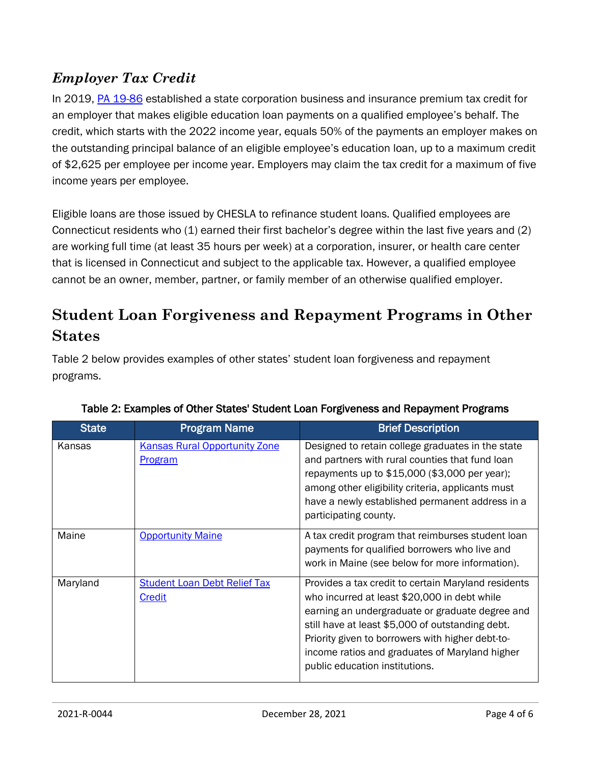### *Employer Tax Credit*

In 2019, [PA 19-86](https://www.cga.ct.gov/asp/cgabillstatus/cgabillstatus.asp?selBillType=Bill&which_year=2019&bill_num=72) established a state corporation business and insurance premium tax credit for an employer that makes eligible education loan payments on a qualified employee's behalf. The credit, which starts with the 2022 income year, equals 50% of the payments an employer makes on the outstanding principal balance of an eligible employee's education loan, up to a maximum credit of \$2,625 per employee per income year. Employers may claim the tax credit for a maximum of five income years per employee.

Eligible loans are those issued by CHESLA to refinance student loans. Qualified employees are Connecticut residents who (1) earned their first bachelor's degree within the last five years and (2) are working full time (at least 35 hours per week) at a corporation, insurer, or health care center that is licensed in Connecticut and subject to the applicable tax. However, a qualified employee cannot be an owner, member, partner, or family member of an otherwise qualified employer.

## **Student Loan Forgiveness and Repayment Programs in Other States**

Table 2 below provides examples of other states' student loan forgiveness and repayment programs.

| <b>State</b> | <b>Program Name</b>                                    | <b>Brief Description</b>                                                                                                                                                                                                                                                                                                                           |
|--------------|--------------------------------------------------------|----------------------------------------------------------------------------------------------------------------------------------------------------------------------------------------------------------------------------------------------------------------------------------------------------------------------------------------------------|
| Kansas       | <b>Kansas Rural Opportunity Zone</b><br><b>Program</b> | Designed to retain college graduates in the state<br>and partners with rural counties that fund loan<br>repayments up to \$15,000 (\$3,000 per year);<br>among other eligibility criteria, applicants must<br>have a newly established permanent address in a<br>participating county.                                                             |
| Maine        | <b>Opportunity Maine</b>                               | A tax credit program that reimburses student loan<br>payments for qualified borrowers who live and<br>work in Maine (see below for more information).                                                                                                                                                                                              |
| Maryland     | <b>Student Loan Debt Relief Tax</b><br>Credit          | Provides a tax credit to certain Maryland residents<br>who incurred at least \$20,000 in debt while<br>earning an undergraduate or graduate degree and<br>still have at least \$5,000 of outstanding debt.<br>Priority given to borrowers with higher debt-to-<br>income ratios and graduates of Maryland higher<br>public education institutions. |

#### Table 2: Examples of Other States' Student Loan Forgiveness and Repayment Programs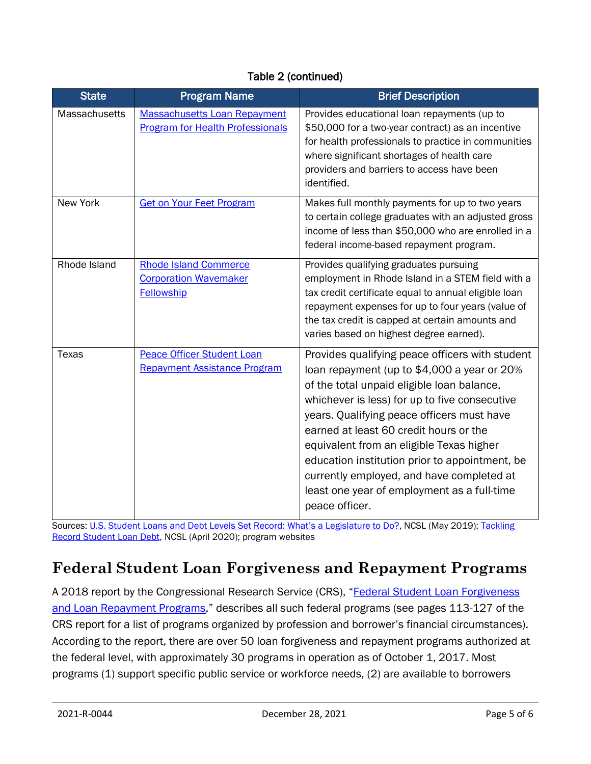#### Table 2 (continued)

| <b>State</b>    | <b>Program Name</b>                                                               | <b>Brief Description</b>                                                                                                                                                                                                                                                                                                                                                                                                                                                                          |
|-----------------|-----------------------------------------------------------------------------------|---------------------------------------------------------------------------------------------------------------------------------------------------------------------------------------------------------------------------------------------------------------------------------------------------------------------------------------------------------------------------------------------------------------------------------------------------------------------------------------------------|
| Massachusetts   | <b>Massachusetts Loan Repayment</b><br><b>Program for Health Professionals</b>    | Provides educational loan repayments (up to<br>\$50,000 for a two-year contract) as an incentive<br>for health professionals to practice in communities<br>where significant shortages of health care<br>providers and barriers to access have been<br>identified.                                                                                                                                                                                                                                |
| <b>New York</b> | <b>Get on Your Feet Program</b>                                                   | Makes full monthly payments for up to two years<br>to certain college graduates with an adjusted gross<br>income of less than \$50,000 who are enrolled in a<br>federal income-based repayment program.                                                                                                                                                                                                                                                                                           |
| Rhode Island    | <b>Rhode Island Commerce</b><br><b>Corporation Wavemaker</b><br><b>Fellowship</b> | Provides qualifying graduates pursuing<br>employment in Rhode Island in a STEM field with a<br>tax credit certificate equal to annual eligible loan<br>repayment expenses for up to four years (value of<br>the tax credit is capped at certain amounts and<br>varies based on highest degree earned).                                                                                                                                                                                            |
| <b>Texas</b>    | <b>Peace Officer Student Loan</b><br><b>Repayment Assistance Program</b>          | Provides qualifying peace officers with student<br>loan repayment (up to \$4,000 a year or 20%<br>of the total unpaid eligible loan balance,<br>whichever is less) for up to five consecutive<br>years. Qualifying peace officers must have<br>earned at least 60 credit hours or the<br>equivalent from an eligible Texas higher<br>education institution prior to appointment, be<br>currently employed, and have completed at<br>least one year of employment as a full-time<br>peace officer. |

Sources: [U.S. Student Loans and Debt Levels Set Record: What](https://www.ncsl.org/Portals/1/Documents/educ/Student-Loans-And-Debt_v02.pdf)'s a Legislature to Do?, NCSL (May 2019); [Tackling](https://www.ncsl.org/research/education/tackling-record-student-loan-debt637212487.aspx)  [Record Student Loan Debt,](https://www.ncsl.org/research/education/tackling-record-student-loan-debt637212487.aspx) NCSL (April 2020); program websites

## **Federal Student Loan Forgiveness and Repayment Programs**

A 2018 report by the Congressional Research Service (CRS), "Federal Student Loan Forgiveness [and Loan Repayment Programs](https://fas.org/sgp/crs/misc/R43571.pdf)," describes all such federal programs (see pages 113-127 of the CRS report for a list of programs organized by profession and borrower's financial circumstances). According to the report, there are over 50 loan forgiveness and repayment programs authorized at the federal level, with approximately 30 programs in operation as of October 1, 2017. Most programs (1) support specific public service or workforce needs, (2) are available to borrowers